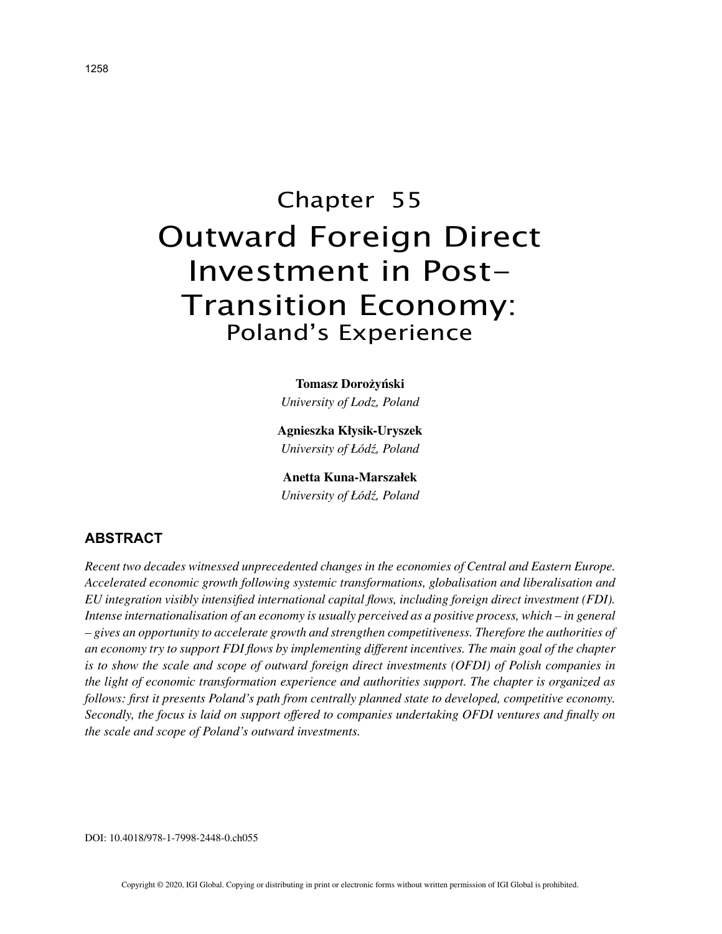# Chapter 55 Outward Foreign Direct Investment in Post-Transition Economy: Poland's Experience

#### **Tomasz Dorożyński**

*University of Lodz, Poland*

**Agnieszka Kłysik-Uryszek** *University of Łódź, Poland*

**Anetta Kuna-Marszałek** *University of Łódź, Poland*

# **ABSTRACT**

*Recent two decades witnessed unprecedented changes in the economies of Central and Eastern Europe. Accelerated economic growth following systemic transformations, globalisation and liberalisation and EU integration visibly intensified international capital flows, including foreign direct investment (FDI). Intense internationalisation of an economy is usually perceived as a positive process, which – in general – gives an opportunity to accelerate growth and strengthen competitiveness. Therefore the authorities of an economy try to support FDI flows by implementing different incentives. The main goal of the chapter is to show the scale and scope of outward foreign direct investments (OFDI) of Polish companies in the light of economic transformation experience and authorities support. The chapter is organized as follows: first it presents Poland's path from centrally planned state to developed, competitive economy. Secondly, the focus is laid on support offered to companies undertaking OFDI ventures and finally on the scale and scope of Poland's outward investments.*

DOI: 10.4018/978-1-7998-2448-0.ch055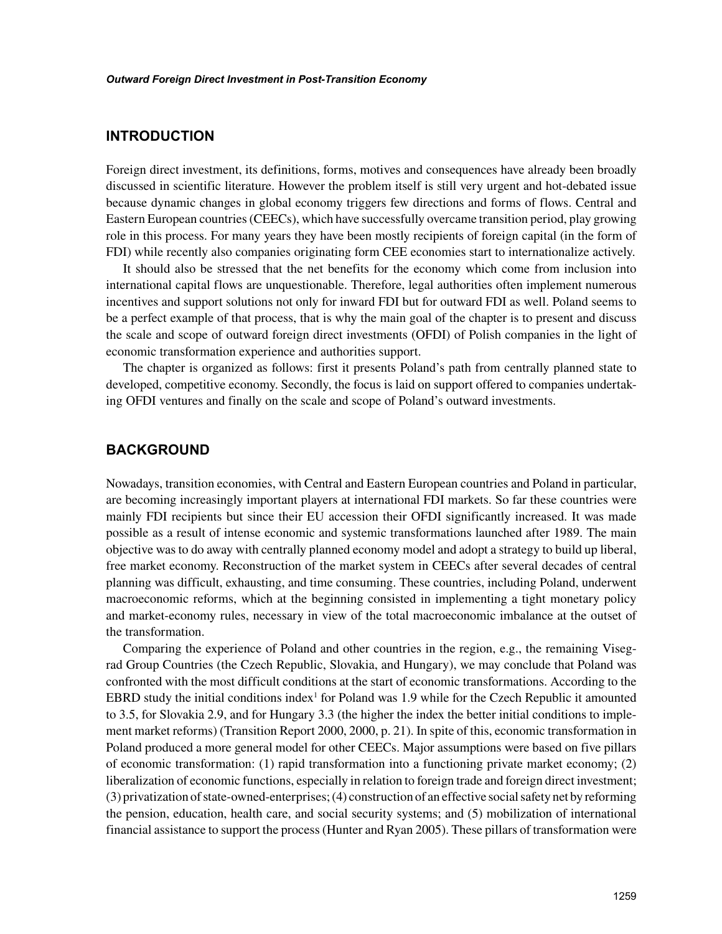## **INTRODUCTION**

Foreign direct investment, its definitions, forms, motives and consequences have already been broadly discussed in scientific literature. However the problem itself is still very urgent and hot-debated issue because dynamic changes in global economy triggers few directions and forms of flows. Central and Eastern European countries (CEECs), which have successfully overcame transition period, play growing role in this process. For many years they have been mostly recipients of foreign capital (in the form of FDI) while recently also companies originating form CEE economies start to internationalize actively.

It should also be stressed that the net benefits for the economy which come from inclusion into international capital flows are unquestionable. Therefore, legal authorities often implement numerous incentives and support solutions not only for inward FDI but for outward FDI as well. Poland seems to be a perfect example of that process, that is why the main goal of the chapter is to present and discuss the scale and scope of outward foreign direct investments (OFDI) of Polish companies in the light of economic transformation experience and authorities support.

The chapter is organized as follows: first it presents Poland's path from centrally planned state to developed, competitive economy. Secondly, the focus is laid on support offered to companies undertaking OFDI ventures and finally on the scale and scope of Poland's outward investments.

## **BACKGROUND**

Nowadays, transition economies, with Central and Eastern European countries and Poland in particular, are becoming increasingly important players at international FDI markets. So far these countries were mainly FDI recipients but since their EU accession their OFDI significantly increased. It was made possible as a result of intense economic and systemic transformations launched after 1989. The main objective was to do away with centrally planned economy model and adopt a strategy to build up liberal, free market economy. Reconstruction of the market system in CEECs after several decades of central planning was difficult, exhausting, and time consuming. These countries, including Poland, underwent macroeconomic reforms, which at the beginning consisted in implementing a tight monetary policy and market-economy rules, necessary in view of the total macroeconomic imbalance at the outset of the transformation.

Comparing the experience of Poland and other countries in the region, e.g., the remaining Visegrad Group Countries (the Czech Republic, Slovakia, and Hungary), we may conclude that Poland was confronted with the most difficult conditions at the start of economic transformations. According to the EBRD study the initial conditions index<sup>1</sup> for Poland was 1.9 while for the Czech Republic it amounted to 3.5, for Slovakia 2.9, and for Hungary 3.3 (the higher the index the better initial conditions to implement market reforms) (Transition Report 2000, 2000, p. 21). In spite of this, economic transformation in Poland produced a more general model for other CEECs. Major assumptions were based on five pillars of economic transformation: (1) rapid transformation into a functioning private market economy; (2) liberalization of economic functions, especially in relation to foreign trade and foreign direct investment; (3) privatization of state-owned-enterprises; (4) construction of an effective social safety net by reforming the pension, education, health care, and social security systems; and (5) mobilization of international financial assistance to support the process (Hunter and Ryan 2005). These pillars of transformation were